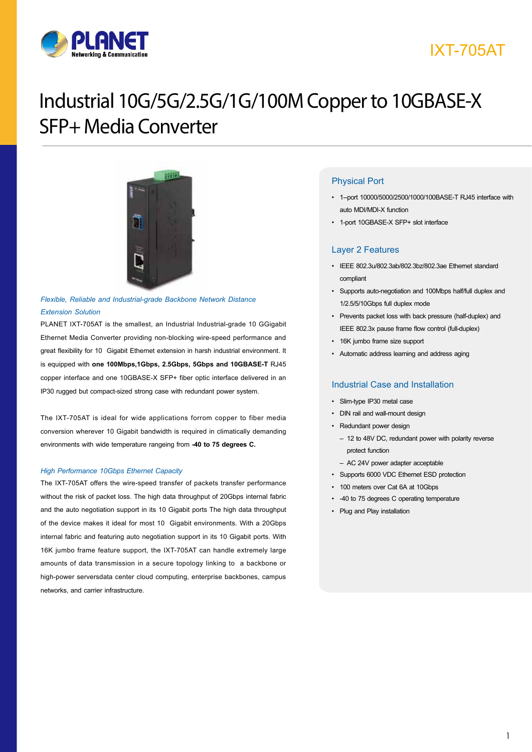

# IXT-705AT

# Industrial 10G/5G/2.5G/1G/100M Copper to 10GBASE-X SFP+ Media Converter



## *Flexible, Reliable and Industrial-grade Backbone Network Distance Extension Solution*

PLANET IXT-705AT is the smallest, an Industrial Industrial-grade 10 GGigabit Ethernet Media Converter providing non-blocking wire-speed performance and great flexibility for 10 Gigabit Ethernet extension in harsh industrial environment. It is equipped with **one 100Mbps,1Gbps, 2.5Gbps, 5Gbps and 10GBASE-T** RJ45 copper interface and one 10GBASE-X SFP+ fiber optic interface delivered in an IP30 rugged but compact-sized strong case with redundant power system.

The IXT-705AT is ideal for wide applications forrom copper to fiber media conversion wherever 10 Gigabit bandwidth is required in climatically demanding environments with wide temperature rangeing from **-40 to 75 degrees C.**

#### *High Performance 10Gbps Ethernet Capacity*

The IXT-705AT offers the wire-speed transfer of packets transfer performance without the risk of packet loss. The high data throughput of 20Gbps internal fabric and the auto negotiation support in its 10 Gigabit ports The high data throughput of the device makes it ideal for most 10 Gigabit environments. With a 20Gbps internal fabric and featuring auto negotiation support in its 10 Gigabit ports. With 16K jumbo frame feature support, the IXT-705AT can handle extremely large amounts of data transmission in a secure topology linking to a backbone or high-power serversdata center cloud computing, enterprise backbones, campus networks, and carrier infrastructure.

## Physical Port

- 1--port 10000/5000/2500/1000/100BASE-T RJ45 interface with auto MDI/MDI-X function
- 1-port 10GBASE-X SFP+ slot interface

## Layer 2 Features

- IEEE 802.3u/802.3ab/802.3bz/802.3ae Ethernet standard compliant
- Supports auto-negotiation and 100Mbps half/full duplex and 1/2.5/5/10Gbps full duplex mode
- Prevents packet loss with back pressure (half-duplex) and IEEE 802.3x pause frame flow control (full-duplex)
- 16K jumbo frame size support
- Automatic address learning and address aging

### Industrial Case and Installation

- Slim-type IP30 metal case
- DIN rail and wall-mount design
- Redundant power design
	- 12 to 48V DC, redundant power with polarity reverse protect function
	- AC 24V power adapter acceptable
- Supports 6000 VDC Ethernet ESD protection
- 100 meters over Cat 6A at 10Gbps
- -40 to 75 degrees C operating temperature
- Plug and Play installation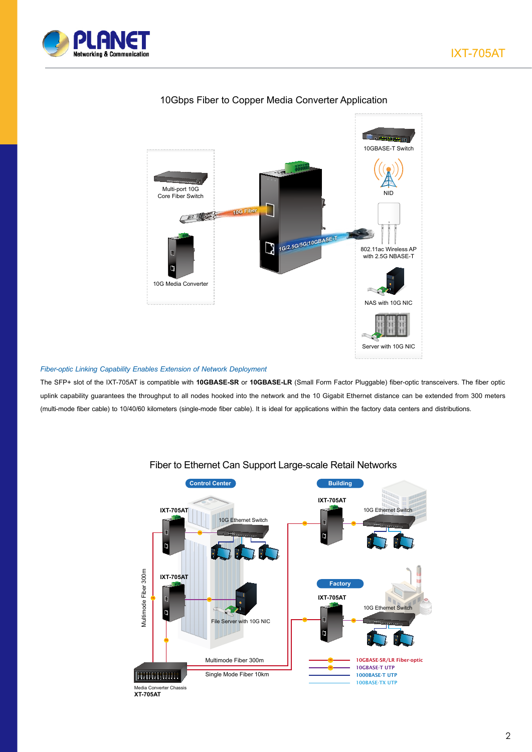



## 10Gbps Fiber to Copper Media Converter Application

## *Fiber-optic Linking Capability Enables Extension of Network Deployment*

The SFP+ slot of the IXT-705AT is compatible with **10GBASE-SR** or **10GBASE-LR** (Small Form Factor Pluggable) fiber-optic transceivers. The fiber optic uplink capability guarantees the throughput to all nodes hooked into the network and the 10 Gigabit Ethernet distance can be extended from 300 meters (multi-mode fiber cable) to 10/40/60 kilometers (single-mode fiber cable). It is ideal for applications within the factory data centers and distributions.



## Fiber to Ethernet Can Support Large-scale Retail Networks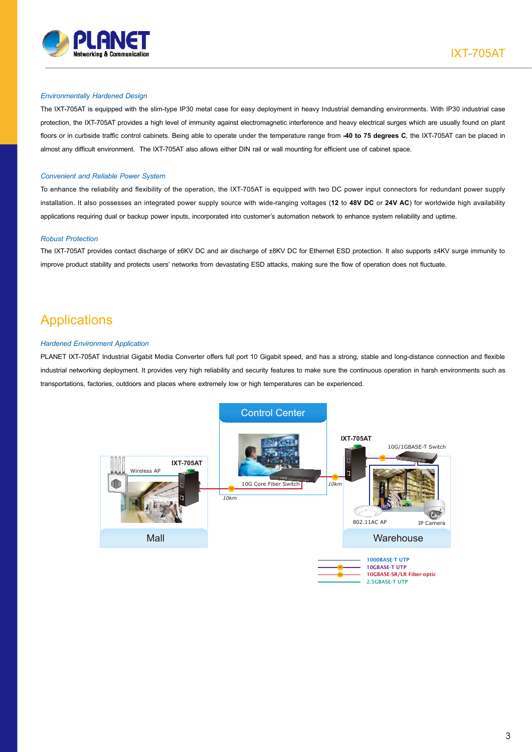

#### *Environmentally Hardened Design*

The IXT-705AT is equipped with the slim-type IP30 metal case for easy deployment in heavy Industrial demanding environments. With IP30 industrial case protection, the IXT-705AT provides a high level of immunity against electromagnetic interference and heavy electrical surges which are usually found on plant floors or in curbside traffic control cabinets. Being able to operate under the temperature range from **-40 to 75 degrees C**, the IXT-705AT can be placed in almost any difficult environment. The IXT-705AT also allows either DIN rail or wall mounting for efficient use of cabinet space.

#### *Convenient and Reliable Power System*

To enhance the reliability and flexibility of the operation, the IXT-705AT is equipped with two DC power input connectors for redundant power supply installation. It also possesses an integrated power supply source with wide-ranging voltages (**12** to **48V DC** or **24V AC**) for worldwide high availability applications requiring dual or backup power inputs, incorporated into customer's automation network to enhance system reliability and uptime.

#### *Robust Protection*

The IXT-705AT provides contact discharge of ±6KV DC and air discharge of ±8KV DC for Ethernet ESD protection. It also supports ±4KV surge immunity to improve product stability and protects users' networks from devastating ESD attacks, making sure the flow of operation does not fluctuate.

# Applications

#### *Hardened Environment Application*

PLANET IXT-705AT Industrial Gigabit Media Converter offers full port 10 Gigabit speed, and has a strong, stable and long-distance connection and flexible industrial networking deployment. It provides very high reliability and security features to make sure the continuous operation in harsh environments such as transportations, factories, outdoors and places where extremely low or high temperatures can be experienced.

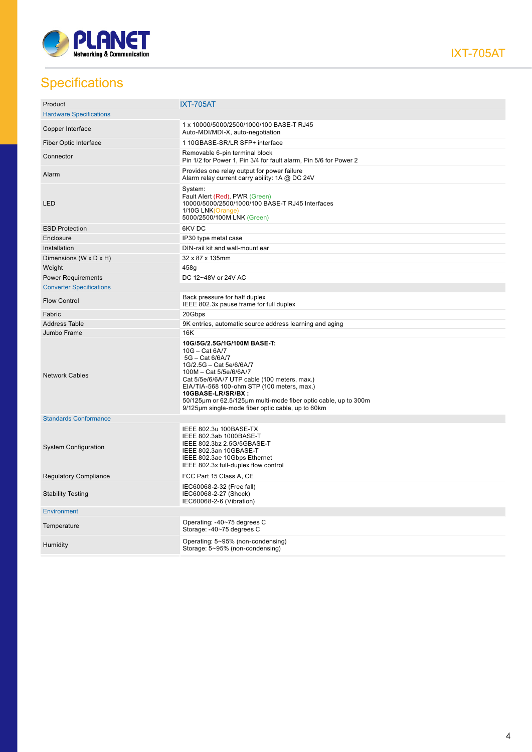

IXT-705AT

# **Specifications**

| Product                         | <b>IXT-705AT</b>                                                                                                                                                                                                                                                                                                                                                 |
|---------------------------------|------------------------------------------------------------------------------------------------------------------------------------------------------------------------------------------------------------------------------------------------------------------------------------------------------------------------------------------------------------------|
| <b>Hardware Specifications</b>  |                                                                                                                                                                                                                                                                                                                                                                  |
| Copper Interface                | 1 x 10000/5000/2500/1000/100 BASE-T RJ45<br>Auto-MDI/MDI-X, auto-negotiation                                                                                                                                                                                                                                                                                     |
| Fiber Optic Interface           | 1 10GBASE-SR/LR SFP+ interface                                                                                                                                                                                                                                                                                                                                   |
| Connector                       | Removable 6-pin terminal block<br>Pin 1/2 for Power 1, Pin 3/4 for fault alarm, Pin 5/6 for Power 2                                                                                                                                                                                                                                                              |
| Alarm                           | Provides one relay output for power failure<br>Alarm relay current carry ability: 1A @ DC 24V                                                                                                                                                                                                                                                                    |
| LED                             | System:<br>Fault Alert (Red), PWR (Green)<br>10000/5000/2500/1000/100 BASE-T RJ45 Interfaces<br>1/10G LNK(Orange)<br>5000/2500/100M LNK (Green)                                                                                                                                                                                                                  |
| <b>ESD Protection</b>           | 6KV DC                                                                                                                                                                                                                                                                                                                                                           |
| Enclosure                       | IP30 type metal case                                                                                                                                                                                                                                                                                                                                             |
| Installation                    | DIN-rail kit and wall-mount ear                                                                                                                                                                                                                                                                                                                                  |
| Dimensions (W x D x H)          | 32 x 87 x 135mm                                                                                                                                                                                                                                                                                                                                                  |
| Weight                          | 458g                                                                                                                                                                                                                                                                                                                                                             |
| <b>Power Requirements</b>       | DC 12~48V or 24V AC                                                                                                                                                                                                                                                                                                                                              |
| <b>Converter Specifications</b> |                                                                                                                                                                                                                                                                                                                                                                  |
| <b>Flow Control</b>             | Back pressure for half duplex<br>IEEE 802.3x pause frame for full duplex                                                                                                                                                                                                                                                                                         |
| Fabric                          | 20Gbps                                                                                                                                                                                                                                                                                                                                                           |
|                                 |                                                                                                                                                                                                                                                                                                                                                                  |
| <b>Address Table</b>            | 9K entries, automatic source address learning and aging                                                                                                                                                                                                                                                                                                          |
| Jumbo Frame                     | 16K                                                                                                                                                                                                                                                                                                                                                              |
| <b>Network Cables</b>           | 10G/5G/2.5G/1G/100M BASE-T:<br>10G - Cat 6A/7<br>5G - Cat 6/6A/7<br>1G/2.5G - Cat 5e/6/6A/7<br>100M - Cat 5/5e/6/6A/7<br>Cat 5/5e/6/6A/7 UTP cable (100 meters, max.)<br>EIA/TIA-568 100-ohm STP (100 meters, max.)<br>10GBASE-LR/SR/BX:<br>50/125µm or 62.5/125µm multi-mode fiber optic cable, up to 300m<br>9/125µm single-mode fiber optic cable, up to 60km |
| <b>Standards Conformance</b>    |                                                                                                                                                                                                                                                                                                                                                                  |
| <b>System Configuration</b>     | IEEE 802.3u 100BASE-TX<br>IEEE 802.3ab 1000BASE-T<br>IEEE 802.3bz 2.5G/5GBASE-T<br>IEEE 802.3an 10GBASE-T<br>IEEE 802.3ae 10Gbps Ethernet<br>IEEE 802.3x full-duplex flow control                                                                                                                                                                                |
| <b>Regulatory Compliance</b>    | FCC Part 15 Class A, CE                                                                                                                                                                                                                                                                                                                                          |
| <b>Stability Testing</b>        | IEC60068-2-32 (Free fall)<br>IEC60068-2-27 (Shock)<br>IEC60068-2-6 (Vibration)                                                                                                                                                                                                                                                                                   |
| Environment                     |                                                                                                                                                                                                                                                                                                                                                                  |
| Temperature                     | Operating: -40~75 degrees C<br>Storage: -40~75 degrees C                                                                                                                                                                                                                                                                                                         |